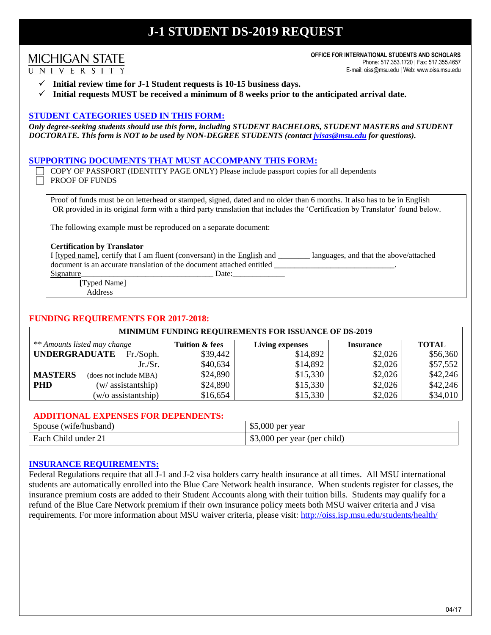# **J-1 STUDENT DS-2019 REQUEST**

# **MICHIGAN STATE** UNIVERSITY

**OFFICE FOR INTERNATIONAL STUDENTS AND SCHOLARS** Phone: 517.353.1720 | Fax: 517.355.4657 E-mail: oiss@msu.edu | Web: www.oiss.msu.edu

- $\checkmark$  Initial review time for J-1 Student requests is 10-15 business days.
- $\checkmark$  Initial requests MUST be received a minimum of 8 weeks prior to the anticipated arrival date.

## **STUDENT CATEGORIES USED IN THIS FORM:**

*Only degree-seeking students should use this form, including STUDENT BACHELORS, STUDENT MASTERS and STUDENT DOCTORATE. This form is NOT to be used by NON-DEGREE STUDENTS (contact jvisas@msu.edu for questions).*

## **SUPPORTING DOCUMENTS THAT MUST ACCOMPANY THIS FORM:**

 COPY OF PASSPORT (IDENTITY PAGE ONLY) Please include passport copies for all dependents PROOF OF FUNDS

Proof of funds must be on letterhead or stamped, signed, dated and no older than 6 months. It also has to be in English OR provided in its original form with a third party translation that includes the 'Certification by Translator' found below.

The following example must be reproduced on a separate document:

#### **Certification by Translator**

I [typed name], certify that I am fluent (conversant) in the **English** and \_\_\_\_\_\_\_ languages, and that the above/attached document is an accurate translation of the document attached entitled

Signature\_\_\_\_\_\_\_\_\_\_\_\_\_\_\_\_\_\_\_\_\_\_\_\_\_\_\_\_\_\_\_\_\_ Date:\_\_\_\_\_\_\_\_\_\_\_\_\_

**[**Typed Name]

Address

#### **FUNDING REQUIREMENTS FOR 2017-2018:**

| <b>MINIMUM FUNDING REQUIREMENTS FOR ISSUANCE OF DS-2019</b> |                              |                |                        |                  |              |
|-------------------------------------------------------------|------------------------------|----------------|------------------------|------------------|--------------|
|                                                             | ** Amounts listed may change | Tuition & fees | <b>Living expenses</b> | <b>Insurance</b> | <b>TOTAL</b> |
| <b>UNDERGRADUATE</b>                                        | Fr./Soph.                    | \$39,442       | \$14,892               | \$2,026          | \$56,360     |
|                                                             | Jr.Sr.                       | \$40,634       | \$14,892               | \$2,026          | \$57,552     |
| <b>MASTERS</b>                                              | (does not include MBA)       | \$24,890       | \$15,330               | \$2,026          | \$42,246     |
| <b>PHD</b>                                                  | (w/assistantship)            | \$24,890       | \$15,330               | \$2,026          | \$42,246     |
|                                                             | (w/o assistantship)          | \$16,654       | \$15,330               | \$2,026          | \$34,010     |

## **ADDITIONAL EXPENSES FOR DEPENDENTS:**

| (wife/husband)               | \$5,000                      |
|------------------------------|------------------------------|
| Spouse                       | J per vear                   |
| Each Child under<br>$\sim$ 1 | \$3,000 per year (per child) |

#### **INSURANCE REQUIREMENTS:**

Federal Regulations require that all J-1 and J-2 visa holders carry health insurance at all times. All MSU international students are automatically enrolled into the Blue Care Network health insurance. When students register for classes, the insurance premium costs are added to their Student Accounts along with their tuition bills. Students may qualify for a refund of the Blue Care Network premium if their own insurance policy meets both MSU waiver criteria and J visa requirements. For more information about MSU waiver criteria, please visit: http://oiss.isp.msu.edu/students/health/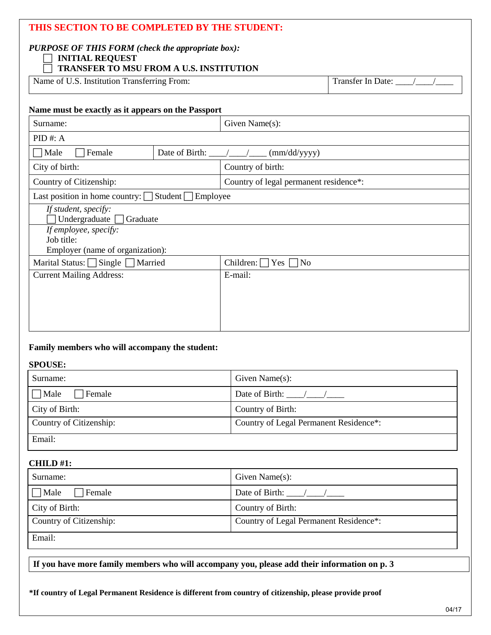| THIS SECTION TO BE COMPLETED BY THE STUDENT:<br><b>PURPOSE OF THIS FORM (check the appropriate box):</b><br><b>INITIAL REQUEST</b><br>TRANSFER TO MSU FROM A U.S. INSTITUTION |                                                    |                                         |                       |
|-------------------------------------------------------------------------------------------------------------------------------------------------------------------------------|----------------------------------------------------|-----------------------------------------|-----------------------|
| Name of U.S. Institution Transferring From:                                                                                                                                   |                                                    |                                         | Transfer In Date: / / |
| Name must be exactly as it appears on the Passport                                                                                                                            |                                                    |                                         |                       |
| Surname:                                                                                                                                                                      |                                                    | Given Name(s):                          |                       |
| PID#: A                                                                                                                                                                       |                                                    |                                         |                       |
| $\exists$ Male<br>Female                                                                                                                                                      | Date of Birth: $\frac{1}{2}$ /                     | (mm/dd/yyyy)                            |                       |
| City of birth:                                                                                                                                                                |                                                    | Country of birth:                       |                       |
| Country of Citizenship:                                                                                                                                                       |                                                    | Country of legal permanent residence*:  |                       |
|                                                                                                                                                                               | Employee<br>Last position in home country: Student |                                         |                       |
| If student, specify:<br>Undergraduate<br>Graduate                                                                                                                             |                                                    |                                         |                       |
| If employee, specify:                                                                                                                                                         |                                                    |                                         |                       |
| Job title:                                                                                                                                                                    |                                                    |                                         |                       |
| Employer (name of organization):<br>Marital Status: Single Married                                                                                                            |                                                    | Children: $\Box$<br>Yes $\lceil$<br>1No |                       |
| <b>Current Mailing Address:</b>                                                                                                                                               |                                                    | E-mail:                                 |                       |
|                                                                                                                                                                               |                                                    |                                         |                       |
|                                                                                                                                                                               |                                                    |                                         |                       |
|                                                                                                                                                                               |                                                    |                                         |                       |
|                                                                                                                                                                               |                                                    |                                         |                       |

## **Family members who will accompany the student:**

#### **SPOUSE:**

| Surname:                | Given Name $(s)$ :                     |  |
|-------------------------|----------------------------------------|--|
| $\Box$ Male<br>Female   | Date of Birth: $\frac{1}{2}$ /         |  |
| City of Birth:          | Country of Birth:                      |  |
| Country of Citizenship: | Country of Legal Permanent Residence*: |  |
| Email:                  |                                        |  |

# **CHILD #1:**

| Surname:                        | Given Name $(s)$ :                     |  |
|---------------------------------|----------------------------------------|--|
| $\Box$ Male<br>$\exists$ Female | Date of Birth: $\frac{1}{2}$           |  |
| City of Birth:                  | Country of Birth:                      |  |
| Country of Citizenship:         | Country of Legal Permanent Residence*: |  |
| Email:                          |                                        |  |

**If you have more family members who will accompany you, please add their information on p. 3**

**\*If country of Legal Permanent Residence is different from country of citizenship, please provide proof**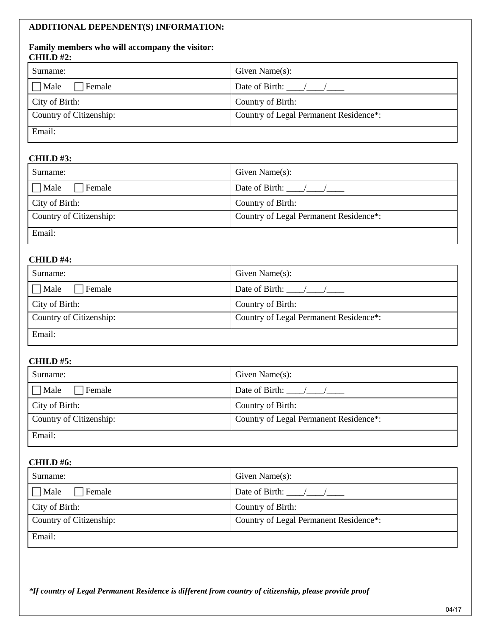# **ADDITIONAL DEPENDENT(S) INFORMATION:**

#### **Family members who will accompany the visitor: CHILD #2:**

| Surname:                | Given Name $(s)$ :                     |  |
|-------------------------|----------------------------------------|--|
| $\Box$ Male<br>Female   | Date of Birth: $\frac{1}{2}$           |  |
| City of Birth:          | Country of Birth:                      |  |
| Country of Citizenship: | Country of Legal Permanent Residence*: |  |
| Email:                  |                                        |  |

# **CHILD #3:**

| Surname:                | Given Name $(s)$ :                     |  |
|-------------------------|----------------------------------------|--|
| 7 Male<br>Female        | Date of Birth: /                       |  |
| City of Birth:          | Country of Birth:                      |  |
| Country of Citizenship: | Country of Legal Permanent Residence*: |  |
| Email:                  |                                        |  |

## **CHILD #4:**

| Surname:                 | Given Name $(s)$ :                     |  |
|--------------------------|----------------------------------------|--|
| $\exists$ Male<br>Female | Date of Birth: $\frac{1}{2}$           |  |
| City of Birth:           | Country of Birth:                      |  |
| Country of Citizenship:  | Country of Legal Permanent Residence*: |  |
| Email:                   |                                        |  |

# **CHILD #5:**

| Surname:                     | Given Name $(s)$ :                     |  |
|------------------------------|----------------------------------------|--|
| $\Box$ Male<br>$\Box$ Female | Date of Birth: $\frac{\sqrt{2}}{2}$    |  |
| City of Birth:               | Country of Birth:                      |  |
| Country of Citizenship:      | Country of Legal Permanent Residence*: |  |
| Email:                       |                                        |  |

## **CHILD #6:**

| Surname:                | Given Name $(s)$ :                     |  |
|-------------------------|----------------------------------------|--|
| $\Box$ Male<br>Female   | Date of Birth: $\frac{1}{2}$           |  |
| City of Birth:          | Country of Birth:                      |  |
| Country of Citizenship: | Country of Legal Permanent Residence*: |  |
| Email:                  |                                        |  |

*\*If country of Legal Permanent Residence is different from country of citizenship, please provide proof*